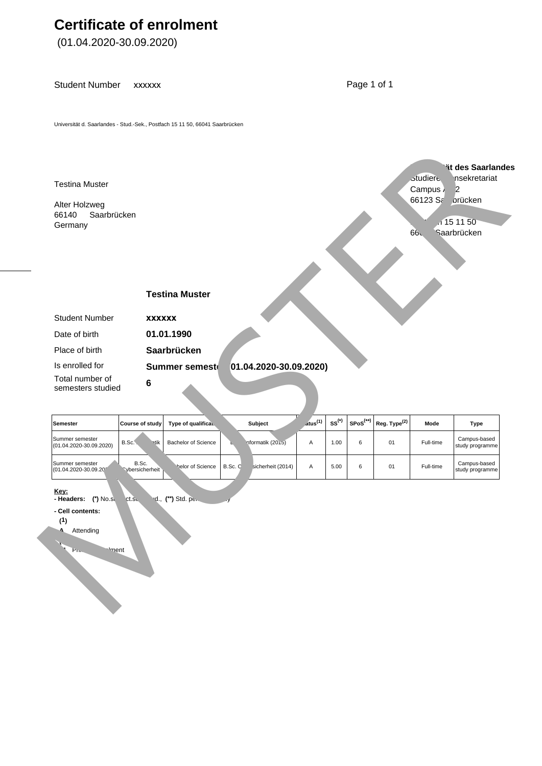## **Certificate of enrolment**

(01.04.2020-30.09.2020)

Student Number xxxxxx Page 1 of 1

Universität d. Saarlandes - Stud.-Sek., Postfach 15 11 50, 66041 Saarbrücken



| Semester                                       | Course of study                 | Type of qualificat. |         | <b>Subject</b>    | atus <sup>(1)</sup> | $\texttt{SS}^{(*)}$ |   | $\mid$ SPoS <sup>(**)</sup> Reg. Type <sup>(2)</sup> | Mode      | Type                            |
|------------------------------------------------|---------------------------------|---------------------|---------|-------------------|---------------------|---------------------|---|------------------------------------------------------|-----------|---------------------------------|
| Summer semester<br>$(01.04.2020 - 30.09.2020)$ | B.Sc.<br><b>Intik</b>           | Bachelor of Science |         | nformatik (2015)  | А                   | 1.00                | 6 | 01                                                   | Full-time | Campus-based<br>study programme |
| Summer semester<br>1/01.04.2020-30.09.201      | B.Sc.<br><b>Noversicherheit</b> | helor of Science    | B.Sc. C | sicherheit (2014) | А                   | 5.00                | 6 | 01                                                   | Full-time | Campus-based<br>study programme |
| Key:                                           |                                 |                     |         |                   |                     |                     |   |                                                      |           |                                 |

**- Headers: (\*)** No.sem.stud., **(\*\*)** Std. period of studies

**Iment** 

**- Cell contents:** 

**(2)**

**(1) A** Attending